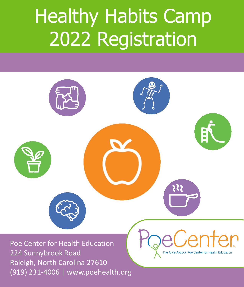# Healthy Habits Camp 2022 Registration

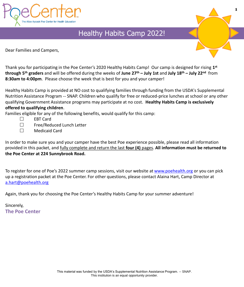

### Healthy Habits Camp 2022!

Dear Families and Campers,



**1**

Thank you for participating in the Poe Center's 2020 Healthy Habits Camp! Our camp is designed for rising **1 st through 5th graders** and will be offered during the weeks of **June 27th – July 1st** and **July 18th – July 22nd** from **8:30am to 4:00pm**. Please choose the week that is best for you and your camper!

Healthy Habits Camp is provided at NO cost to qualifying families through funding from the USDA's Supplemental Nutrition Assistance Program -- SNAP. Children who qualify for free or reduced-price lunches at school or any other qualifying Government Assistance programs may participate at no cost. **Healthy Habits Camp is exclusively offered to qualifying children**.

Families eligible for any of the following benefits, would qualify for this camp:

- □ EBT Card
- $\Box$  Free/Reduced Lunch Letter
- Medicaid Card

In order to make sure you and your camper have the best Poe experience possible, please read all information provided in this packet, and fully complete and return the last **four (4)** pages. **All information must be returned to the Poe Center at 224 Sunnybrook Road.** 

To register for one of Poe's 2022 summer camp sessions, visit our website at [www.poehealth.org](http://www.poehealth.org/) or you can pick up a registration packet at the Poe Center. For other questions, please contact Alaina Hart, Camp Director at [a.hart@poehealth.org](mailto:a.hart@poehealth.org)

Again, thank you for choosing the Poe Center's Healthy Habits Camp for your summer adventure!

Sincerely, **The Poe Center**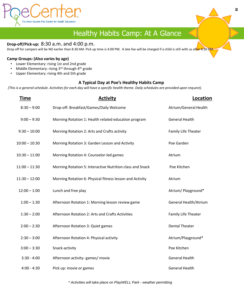

## Healthy Habits Camp: At A Glance

#### **Drop-off/Pick-up:** 8:30 a.m. and 4:00 p.m.

Drop off for campers will be NO earlier than 8:30 AM. Pick up time is 4:00 PM. A late fee will be charged if a child is still with us after 4:30 PM

#### **Camp Groups: (Also varies by age)**

- Lower Elementary: rising 1st and 2nd grade
- Middle Elementary: rising 3rd through 4<sup>th</sup> grade
- Upper Elementary: rising 4th and 5th grade

#### **A Typical Day at Poe's Healthy Habits Camp**

*(This is a general schedule. Activities for each day will have a specific health theme. Daily schedules are provided upon request).*

| Time            | <b>Activity</b>                                           | Location              |
|-----------------|-----------------------------------------------------------|-----------------------|
| $8:30 - 9:00$   | Drop-off: Breakfast/Games/Daily Welcome                   | Atrium/General Health |
| $9:00 - 9:30$   | Morning Rotation 1: Health related education program      | <b>General Health</b> |
| $9:30 - 10:00$  | Morning Rotation 2: Arts and Crafts activity              | Family Life Theater   |
| $10:00 - 10:30$ | Morning Rotation 3: Garden Lesson and Activity            | Poe Garden            |
| $10:30 - 11:00$ | Morning Rotation 4: Counselor-led games                   | Atrium                |
| $11:00 - 11:30$ | Morning Rotation 5: Interactive Nutrition class and Snack | Poe Kitchen           |
| $11:30 - 12:00$ | Morning Rotation 6: Physical fitness lesson and Activity  | Atrium                |
| $12:00 - 1:00$  | Lunch and free play                                       | Atrium/ Playground*   |
| $1:00 - 1:30$   | Afternoon Rotation 1: Morning lesson review game          | General Health/Atrium |
| $1:30 - 2:00$   | Afternoon Rotation 2: Arts and Crafts Activities          | Family Life Theater   |
| $2:00 - 2:30$   | Afternoon Rotation 3: Quiet games                         | <b>Dental Theater</b> |
| $2:30 - 3:00$   | Afternoon Rotation 4: Physical activity                   | Atrium/Playground*    |
| $3:00 - 3:30$   | Snack-activity                                            | Poe Kitchen           |
| $3:30 - 4:00$   | Afternoon activity-games/ movie                           | <b>General Health</b> |
| $4:00 - 4:30$   | Pick up: movie or games                                   | <b>General Health</b> |

*\* Activities will take place on PlayWELL Park - weather permitting*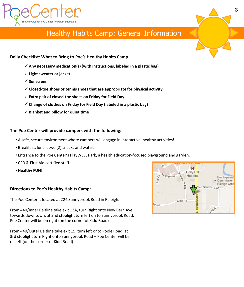

### Healthy Habits Camp: General Information

#### **Daily Checklist: What to Bring to Poe's Healthy Habits Camp:**

- ✓ **Any necessary medication(s) (with instructions, labeled in a plastic bag)**
- ✓ **Light sweater or jacket**
- ✓ **Sunscreen**
- ✓ **Closed-toe shoes or tennis shoes that are appropriate for physical activity**
- ✓ **Extra pair of closed-toe shoes on Friday for Field Day**
- ✓ **Change of clothes on Friday for Field Day (labeled in a plastic bag)**
- ✓ **Blanket and pillow for quiet time**

#### **The Poe Center will provide campers with the following:**

- A safe, secure environment where campers will engage in interactive, healthy activities!
- Breakfast, lunch, two (2) snacks and water.
- Entrance to the Poe Center's PlayWELL Park, a health education-focused playground and garden.
- CPR & First Aid certified staff.
- **Healthy FUN!**

#### **Directions to Poe's Healthy Habits Camp:**

The Poe Center is located at 224 Sunnybrook Road in Raleigh.

From 440/Inner Beltline take exit 13A, turn Right onto New Bern Ave. towards downtown, at 2nd stoplight turn left on to Sunnybrook Road. Poe Center will be on right (on the corner of Kidd Road)

From 440/Outer Beltline take exit 15, turn left onto Poole Road, at 3rd stoplight turn Right onto Sunnybrook Road – Poe Center will be on left (on the corner of Kidd Road)

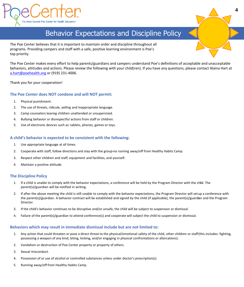

### Behavior Expectations and Discipline Policy

The Poe Center believes that it is important to maintain order and discipline throughout all programs. Providing campers and staff with a safe, positive learning environment is Poe's top priority.

The Poe Center makes every effort to help parents/guardians and campers understand Poe's definitions of acceptable and unacceptable behaviors, attitudes and actions. Please review the following with your child(ren). If you have any questions, please contact Alaina Hart at [a.hart@poehealth.org](mailto:a.carter@poehealth.org) or (919) 231-4006.

Thank you for your cooperation!

#### **The Poe Center does NOT condone and will NOT permit:**

- 1. Physical punishment.
- 2. The use of threats, ridicule, yelling and inappropriate language.
- 3. Camp counselors leaving children unattended or unsupervised.
- 4. Bullying behavior or disrespectful actions from staff or children.
- 5. Use of electronic devices such as: tablets, phones, games or toys.

#### **A child's behavior is expected to be consistent with the following:**

- 1. Use appropriate language at all times.
- 2. Cooperate with staff, follow directions and stay with the group-no running away/off from Healthy Habits Camp.
- 3. Respect other children and staff, equipment and facilities, and yourself.
- 4. Maintain a positive attitude.

#### **The Discipline Policy**

- 1. If a child is unable to comply with the behavior expectations, a conference will be held by the Program Director with the child. The parent(s)/guardian will be notified in writing.
- 2. If after the above meeting the child is still unable to comply with the behavior expectations, the Program Director will set up a conference with the parent(s)/guardian. A behavior contract will be established and signed by the child (if applicable), the parent(s)/guardian and the Program Director.
- 3. If the child's behavior continues to be disruptive and/or unsafe, the child will be subject to suspension or dismissal.
- 4. Failure of the parent(s)/guardian to attend conference(s) and cooperate will subject the child to suspension or dismissal.

#### **Behaviors which may result in immediate dismissal include but are not limited to:**

- 1. Any action that could threaten or pose a direct threat to the physical/emotional safety of the child, other children or staff(this includes: fighting, possessing a weapon of any kind, biting, kicking, and/or engaging in physical confrontations or altercations).
- 2. Vandalism or destruction of Poe Center property or property of others.
- 3. Sexual misconduct.
- 4. Possession of or use of alcohol or controlled substances unless under doctor's prescription(s).
- 5. Running away/off from Healthy Habits Camp.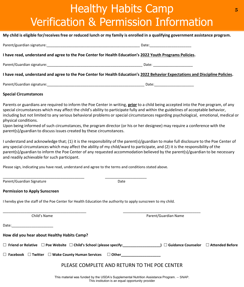# Healthy Habits Camp Verification & Permission Information

#### **My child is eligible for/receives free or reduced lunch or my family is enrolled in a qualifying government assistance program.**

|                                                                                                                | Date:                                                                                                                                                                                                                          |
|----------------------------------------------------------------------------------------------------------------|--------------------------------------------------------------------------------------------------------------------------------------------------------------------------------------------------------------------------------|
| I have read, understand and agree to the Poe Center for Health Education's 2022 Youth Programs Policies.       |                                                                                                                                                                                                                                |
|                                                                                                                | Date: the contract of the contract of the contract of the contract of the contract of the contract of the contract of the contract of the contract of the contract of the contract of the contract of the contract of the cont |
| n beneden an de barrel en beneden an de Westweet en de blokkelige beste de WAAA Weber en de beste de een klass |                                                                                                                                                                                                                                |

#### **I have read, understand and agree to the Poe Center for Health Education's 2022 Behavior Expectations and Discipline Policies.**

Parent/Guardian signature:\_\_\_\_\_\_\_\_\_\_\_\_\_\_\_\_\_\_\_\_\_\_\_\_\_\_\_\_\_\_\_\_\_\_\_\_\_\_\_\_\_\_\_\_\_\_\_\_\_ Date:\_\_\_\_\_\_\_\_\_\_\_\_\_\_\_\_\_\_\_\_

#### **Special Circumstances**

Parents or guardians are required to inform the Poe Center in writing, **prior** to a child being accepted into the Poe program, of any special circumstances which may affect the child's ability to participate fully and within the guidelines of acceptable behavior, including but not limited to any serious behavioral problems or special circumstances regarding psychological, emotional, medical or physical conditions.

Upon being informed of such circumstances, the program director (or his or her designee) may require a conference with the parent(s)/guardian to discuss issues created by these circumstances.

I understand and acknowledge that; (1) it is the responsibility of the parent(s)/guardian to make full disclosure to the Poe Center of any special circumstances which may affect the ability of my child/ward to participate, and (2) it is the responsibility of the parent(s)/guardian to inform the Poe Center of any requested accommodation believed by the parent(s)/guardian to be necessary and readily achievable for such participant.

Please sign, indicating you have read, understand and agree to the terms and conditions stated above.

\_\_\_\_\_\_\_\_\_\_\_\_\_\_\_\_\_\_\_\_\_\_\_\_\_\_\_\_\_\_\_\_\_\_\_\_\_\_\_\_\_ \_\_\_\_\_\_\_\_\_\_\_\_\_\_\_\_\_\_\_\_\_ Parent/Guardian Signature Date

#### **Permission to Apply Sunscreen**

I hereby give the staff of the Poe Center for Health Education the authority to apply sunscreen to my child.

\_\_\_\_\_\_\_\_\_\_\_\_\_\_\_\_\_\_\_\_\_\_\_\_\_\_\_\_\_\_\_\_\_\_\_\_\_\_\_\_\_\_ \_\_\_\_\_\_\_\_\_\_\_\_\_\_\_\_\_\_\_\_\_\_\_\_\_\_\_\_\_\_\_\_\_\_\_\_\_\_\_ Child's Name **Parent/Guardian Name** Parent/Guardian Name

Date:\_\_\_\_\_\_\_\_\_\_\_\_\_\_\_\_\_\_\_\_\_

**How did you hear about Healthy Habits Camp?**

|  | $\Box$ Friend or Relative $\Box$ Poe Website $\Box$ Child's School (please specify: | $\Box$ Guidance Counselor $\Box$ Attended Before |  |
|--|-------------------------------------------------------------------------------------|--------------------------------------------------|--|
|  |                                                                                     |                                                  |  |

**Facebook Twitter Wake County Human Services Other\_\_\_\_\_\_\_\_\_\_\_\_\_\_\_\_\_\_\_\_**

### PLEASE COMPLETE AND RETURN TO THE POE CENTER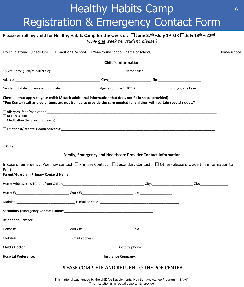# Healthy Habits Camp Registration & Emergency Contact Form

**6**

| Please enroll my child for Healthy Habits Camp for the week of: $\Box$ June 27 <sup>th</sup> -July 1 <sup>st</sup> OR $\Box$ July 18 <sup>th</sup> - 22 <sup>nd</sup>                                                                                                                                                                                                             |                                                               | (Only one week per student, please.)                                                                                  |  |  |
|-----------------------------------------------------------------------------------------------------------------------------------------------------------------------------------------------------------------------------------------------------------------------------------------------------------------------------------------------------------------------------------|---------------------------------------------------------------|-----------------------------------------------------------------------------------------------------------------------|--|--|
|                                                                                                                                                                                                                                                                                                                                                                                   |                                                               |                                                                                                                       |  |  |
|                                                                                                                                                                                                                                                                                                                                                                                   |                                                               | <b>Child's Information</b>                                                                                            |  |  |
|                                                                                                                                                                                                                                                                                                                                                                                   |                                                               |                                                                                                                       |  |  |
|                                                                                                                                                                                                                                                                                                                                                                                   |                                                               |                                                                                                                       |  |  |
|                                                                                                                                                                                                                                                                                                                                                                                   |                                                               |                                                                                                                       |  |  |
| Check all that apply to your child: (Attach additional information that does not fit in space provided)<br>*Poe Center staff and volunteers are not trained to provide the care needed for children with certain special needs.*                                                                                                                                                  |                                                               |                                                                                                                       |  |  |
| $\Box$ ADD or ADHD                                                                                                                                                                                                                                                                                                                                                                |                                                               |                                                                                                                       |  |  |
|                                                                                                                                                                                                                                                                                                                                                                                   |                                                               |                                                                                                                       |  |  |
|                                                                                                                                                                                                                                                                                                                                                                                   |                                                               |                                                                                                                       |  |  |
| In case of emergency, Poe may contact: $\Box$ Primary Contact $\Box$ Secondary Contact $\Box$ Other (please provide this information to<br>Poe)<br>Parent/Guardian (Primary Contact) Name: Name: Name: Name: Name: Name: Name: Name: Name: Name: Name: Name: Name: Name: Name: Name: Name: Name: Name: Name: Name: Name: Name: Name: Name: Name: Name: Name: Name: Name: Name: Na | Family, Emergency and Healthcare Provider Contact Information |                                                                                                                       |  |  |
|                                                                                                                                                                                                                                                                                                                                                                                   |                                                               |                                                                                                                       |  |  |
|                                                                                                                                                                                                                                                                                                                                                                                   |                                                               |                                                                                                                       |  |  |
|                                                                                                                                                                                                                                                                                                                                                                                   |                                                               |                                                                                                                       |  |  |
| Secondary (Emergency Contact) Name:                                                                                                                                                                                                                                                                                                                                               |                                                               | <u> 1989 - Johann Stoff, deutscher Stoff, der Stoff, der Stoff, der Stoff, der Stoff, der Stoff, der Stoff, der S</u> |  |  |
|                                                                                                                                                                                                                                                                                                                                                                                   |                                                               |                                                                                                                       |  |  |
|                                                                                                                                                                                                                                                                                                                                                                                   |                                                               |                                                                                                                       |  |  |
|                                                                                                                                                                                                                                                                                                                                                                                   |                                                               |                                                                                                                       |  |  |
|                                                                                                                                                                                                                                                                                                                                                                                   |                                                               |                                                                                                                       |  |  |
|                                                                                                                                                                                                                                                                                                                                                                                   |                                                               |                                                                                                                       |  |  |
|                                                                                                                                                                                                                                                                                                                                                                                   | PLEASE COMPLETE AND RETURN TO THE POE CENTER                  |                                                                                                                       |  |  |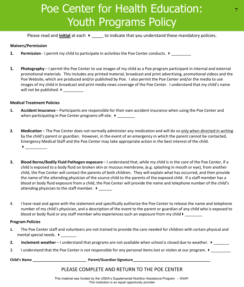# Poe Center for Health Education: Youth Programs Policy

Please read and **initial** at each  $\rightarrow$  to indicate that you understand these mandatory policies.

#### **Waivers/Permission**

- **1. Permission** I permit my child to participate in activities the Poe Center conducts.  $\blacktriangleright$
- **1. Photography** I permit the Poe Center to use images of my child as a Poe program participant in internal and external promotional materials. This includes any printed material, broadcast and print advertising, promotional videos and the Poe Website, which are produced and/or published by Poe. I also permit the Poe Center and/or the media to use images of my child in broadcast and print media news coverage of the Poe Center. I understand that my child's name will not be published.  $\blacktriangleright$

#### **Medical Treatment Policies**

- **1. Accident Insurance** Participants are responsible for their own accident insurance when using the Poe Center and when participating in Poe Center programs off-site.  $\blacktriangleright$
- **2. Medication** The Poe Center does not normally administer any medication and will do so only when directed in writing by the child's parent or guardian. However, in the event of an emergency in which the parent cannot be contacted, Emergency Medical Staff and the Poe Center may take appropriate action in the best interest of the child.  $\blacktriangleright$
- **3. Blood Borne/Bodily Fluid Pathogen exposure** I understand that, while my child is in the care of the Poe Center, if a child is exposed to a body fluid on broken skin or mucous membrane, (e.g. splashing in mouth or eye), from another child, the Poe Center will contact the parents of both children. They will explain what has occurred, and then provide the name of the attending physician of the source child to the parents of the exposed child. If a staff member has a blood or body fluid exposure from a child, the Poe Center will provide the name and telephone number of the child's attending physician to the staff member.  $\blacktriangleright$  \_\_\_\_\_\_
- 4. I have read and agree with the statement and specifically authorize the Poe Center to release the name and telephone number of my child's physician, and a description of the event to the parent or guardian of any child who is exposed to blood or body fluid or any staff member who experiences such an exposure from my child  $\blacktriangleright$

#### **Program Policies**

- **1.** The Poe Center staff and volunteers are not trained to provide the care needed for children with certain physical and mental special needs.  $\rightarrow$
- **2. Inclement weather** I understand that programs are not available when school is closed due to weather. ▶
- 3. I understand that the Poe Center is not responsible for any personal items lost or stolen at our program.  $\blacktriangleright$

Child's Name **Later and Container and Containers and Containers and Containers and Containers and Containers and Containers and Containers and Containers and Containers and Containers and Containers and Containers and Cont** 

#### PLEASE COMPLETE AND RETURN TO THE POE CENTER